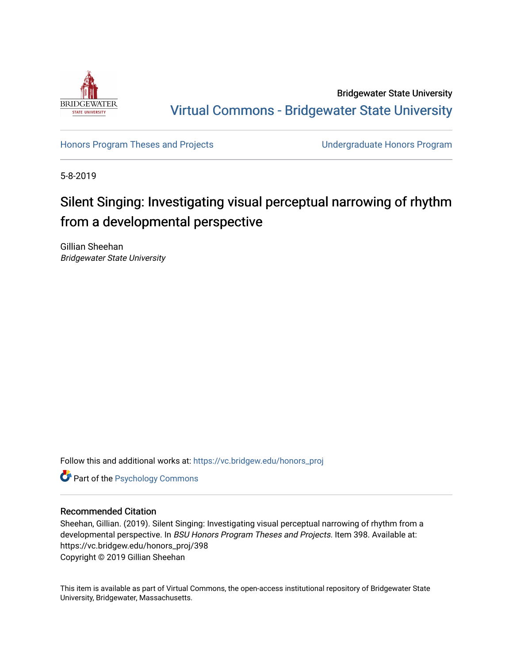

Bridgewater State University [Virtual Commons - Bridgewater State University](https://vc.bridgew.edu/) 

[Honors Program Theses and Projects](https://vc.bridgew.edu/honors_proj) [Undergraduate Honors Program](https://vc.bridgew.edu/honors) 

5-8-2019

# Silent Singing: Investigating visual perceptual narrowing of rhythm from a developmental perspective

Gillian Sheehan Bridgewater State University

Follow this and additional works at: [https://vc.bridgew.edu/honors\\_proj](https://vc.bridgew.edu/honors_proj?utm_source=vc.bridgew.edu%2Fhonors_proj%2F398&utm_medium=PDF&utm_campaign=PDFCoverPages)

**Part of the Psychology Commons** 

#### Recommended Citation

Sheehan, Gillian. (2019). Silent Singing: Investigating visual perceptual narrowing of rhythm from a developmental perspective. In BSU Honors Program Theses and Projects. Item 398. Available at: https://vc.bridgew.edu/honors\_proj/398 Copyright © 2019 Gillian Sheehan

This item is available as part of Virtual Commons, the open-access institutional repository of Bridgewater State University, Bridgewater, Massachusetts.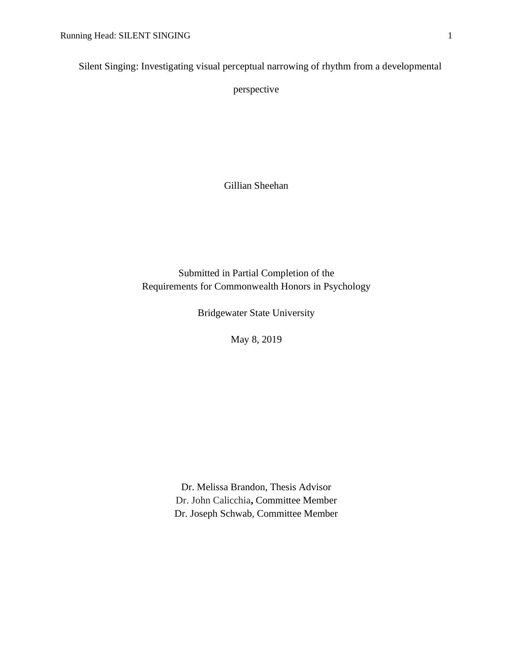Silent Singing: Investigating visual perceptual narrowing of rhythm from a developmental

perspective

Gillian Sheehan

Submitted in Partial Completion of the Requirements for Commonwealth Honors in Psychology

Bridgewater State University

May 8, 2019

Dr. Melissa Brandon, Thesis Advisor Dr. John Calicchia**,** Committee Member Dr. Joseph Schwab, Committee Member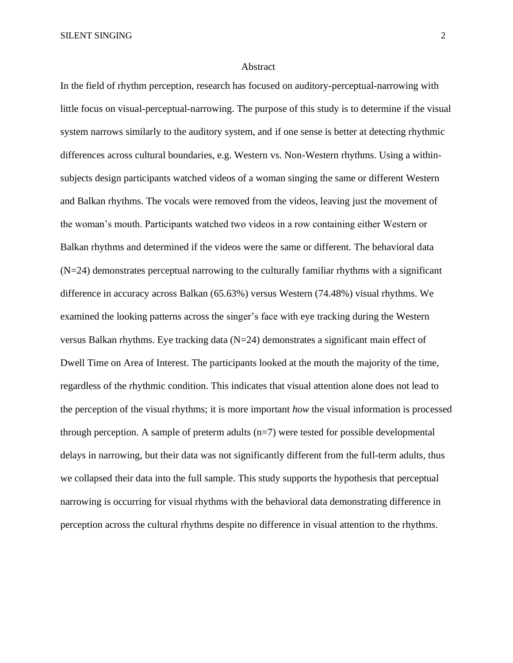#### Abstract

In the field of rhythm perception, research has focused on auditory-perceptual-narrowing with little focus on visual-perceptual-narrowing. The purpose of this study is to determine if the visual system narrows similarly to the auditory system, and if one sense is better at detecting rhythmic differences across cultural boundaries, e.g. Western vs. Non-Western rhythms. Using a withinsubjects design participants watched videos of a woman singing the same or different Western and Balkan rhythms. The vocals were removed from the videos, leaving just the movement of the woman's mouth. Participants watched two videos in a row containing either Western or Balkan rhythms and determined if the videos were the same or different. The behavioral data  $(N=24)$  demonstrates perceptual narrowing to the culturally familiar rhythms with a significant difference in accuracy across Balkan (65.63%) versus Western (74.48%) visual rhythms. We examined the looking patterns across the singer's face with eye tracking during the Western versus Balkan rhythms. Eye tracking data (N=24) demonstrates a significant main effect of Dwell Time on Area of Interest. The participants looked at the mouth the majority of the time, regardless of the rhythmic condition. This indicates that visual attention alone does not lead to the perception of the visual rhythms; it is more important *how* the visual information is processed through perception. A sample of preterm adults  $(n=7)$  were tested for possible developmental delays in narrowing, but their data was not significantly different from the full-term adults, thus we collapsed their data into the full sample. This study supports the hypothesis that perceptual narrowing is occurring for visual rhythms with the behavioral data demonstrating difference in perception across the cultural rhythms despite no difference in visual attention to the rhythms.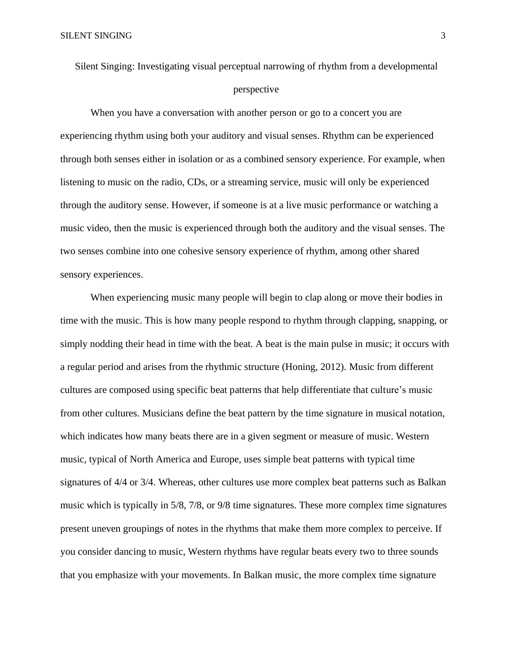Silent Singing: Investigating visual perceptual narrowing of rhythm from a developmental perspective

When you have a conversation with another person or go to a concert you are experiencing rhythm using both your auditory and visual senses. Rhythm can be experienced through both senses either in isolation or as a combined sensory experience. For example, when listening to music on the radio, CDs, or a streaming service, music will only be experienced through the auditory sense. However, if someone is at a live music performance or watching a music video, then the music is experienced through both the auditory and the visual senses. The two senses combine into one cohesive sensory experience of rhythm, among other shared sensory experiences.

When experiencing music many people will begin to clap along or move their bodies in time with the music. This is how many people respond to rhythm through clapping, snapping, or simply nodding their head in time with the beat. A beat is the main pulse in music; it occurs with a regular period and arises from the rhythmic structure (Honing, 2012). Music from different cultures are composed using specific beat patterns that help differentiate that culture's music from other cultures. Musicians define the beat pattern by the time signature in musical notation, which indicates how many beats there are in a given segment or measure of music. Western music, typical of North America and Europe, uses simple beat patterns with typical time signatures of 4/4 or 3/4. Whereas, other cultures use more complex beat patterns such as Balkan music which is typically in 5/8, 7/8, or 9/8 time signatures. These more complex time signatures present uneven groupings of notes in the rhythms that make them more complex to perceive. If you consider dancing to music, Western rhythms have regular beats every two to three sounds that you emphasize with your movements. In Balkan music, the more complex time signature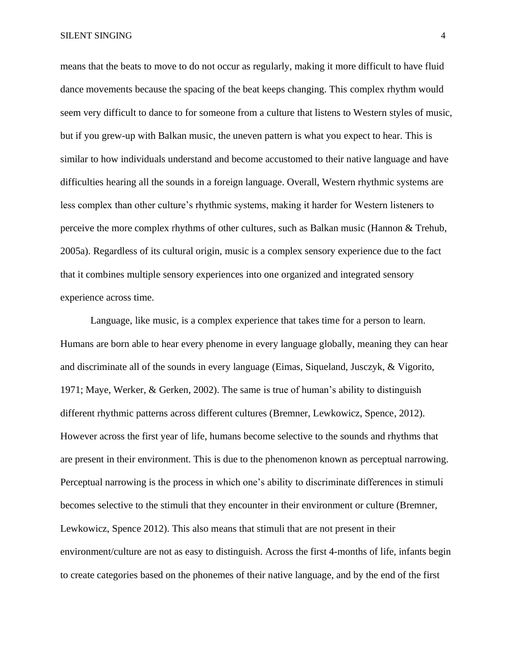means that the beats to move to do not occur as regularly, making it more difficult to have fluid dance movements because the spacing of the beat keeps changing. This complex rhythm would seem very difficult to dance to for someone from a culture that listens to Western styles of music, but if you grew-up with Balkan music, the uneven pattern is what you expect to hear. This is similar to how individuals understand and become accustomed to their native language and have difficulties hearing all the sounds in a foreign language. Overall, Western rhythmic systems are less complex than other culture's rhythmic systems, making it harder for Western listeners to perceive the more complex rhythms of other cultures, such as Balkan music (Hannon & Trehub, 2005a). Regardless of its cultural origin, music is a complex sensory experience due to the fact that it combines multiple sensory experiences into one organized and integrated sensory experience across time.

Language, like music, is a complex experience that takes time for a person to learn. Humans are born able to hear every phenome in every language globally, meaning they can hear and discriminate all of the sounds in every language (Eimas, Siqueland, Jusczyk, & Vigorito, 1971; Maye, Werker, & Gerken, 2002). The same is true of human's ability to distinguish different rhythmic patterns across different cultures (Bremner, Lewkowicz, Spence, 2012). However across the first year of life, humans become selective to the sounds and rhythms that are present in their environment. This is due to the phenomenon known as perceptual narrowing. Perceptual narrowing is the process in which one's ability to discriminate differences in stimuli becomes selective to the stimuli that they encounter in their environment or culture (Bremner, Lewkowicz, Spence 2012). This also means that stimuli that are not present in their environment/culture are not as easy to distinguish. Across the first 4-months of life, infants begin to create categories based on the phonemes of their native language, and by the end of the first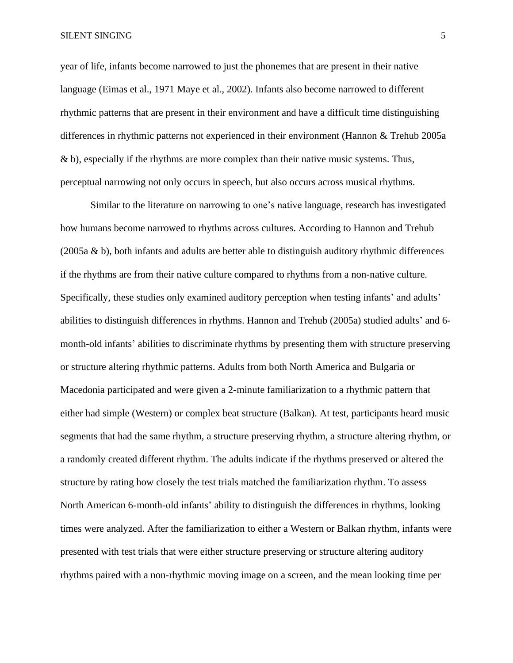year of life, infants become narrowed to just the phonemes that are present in their native language (Eimas et al., 1971 Maye et al., 2002). Infants also become narrowed to different rhythmic patterns that are present in their environment and have a difficult time distinguishing differences in rhythmic patterns not experienced in their environment (Hannon & Trehub 2005a & b), especially if the rhythms are more complex than their native music systems. Thus, perceptual narrowing not only occurs in speech, but also occurs across musical rhythms.

Similar to the literature on narrowing to one's native language, research has investigated how humans become narrowed to rhythms across cultures. According to Hannon and Trehub (2005a & b), both infants and adults are better able to distinguish auditory rhythmic differences if the rhythms are from their native culture compared to rhythms from a non-native culture. Specifically, these studies only examined auditory perception when testing infants' and adults' abilities to distinguish differences in rhythms. Hannon and Trehub (2005a) studied adults' and 6 month-old infants' abilities to discriminate rhythms by presenting them with structure preserving or structure altering rhythmic patterns. Adults from both North America and Bulgaria or Macedonia participated and were given a 2-minute familiarization to a rhythmic pattern that either had simple (Western) or complex beat structure (Balkan). At test, participants heard music segments that had the same rhythm, a structure preserving rhythm, a structure altering rhythm, or a randomly created different rhythm. The adults indicate if the rhythms preserved or altered the structure by rating how closely the test trials matched the familiarization rhythm. To assess North American 6-month-old infants' ability to distinguish the differences in rhythms, looking times were analyzed. After the familiarization to either a Western or Balkan rhythm, infants were presented with test trials that were either structure preserving or structure altering auditory rhythms paired with a non-rhythmic moving image on a screen, and the mean looking time per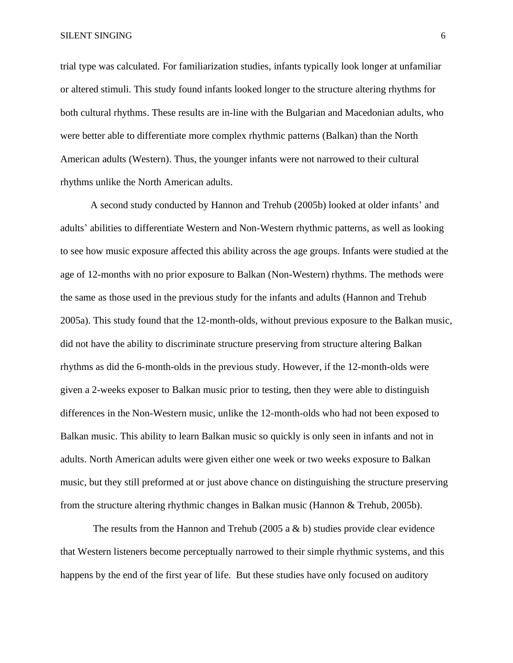trial type was calculated. For familiarization studies, infants typically look longer at unfamiliar or altered stimuli. This study found infants looked longer to the structure altering rhythms for both cultural rhythms. These results are in-line with the Bulgarian and Macedonian adults, who were better able to differentiate more complex rhythmic patterns (Balkan) than the North American adults (Western). Thus, the younger infants were not narrowed to their cultural rhythms unlike the North American adults.

A second study conducted by Hannon and Trehub (2005b) looked at older infants' and adults' abilities to differentiate Western and Non-Western rhythmic patterns, as well as looking to see how music exposure affected this ability across the age groups. Infants were studied at the age of 12-months with no prior exposure to Balkan (Non-Western) rhythms. The methods were the same as those used in the previous study for the infants and adults (Hannon and Trehub 2005a). This study found that the 12-month-olds, without previous exposure to the Balkan music, did not have the ability to discriminate structure preserving from structure altering Balkan rhythms as did the 6-month-olds in the previous study. However, if the 12-month-olds were given a 2-weeks exposer to Balkan music prior to testing, then they were able to distinguish differences in the Non-Western music, unlike the 12-month-olds who had not been exposed to Balkan music. This ability to learn Balkan music so quickly is only seen in infants and not in adults. North American adults were given either one week or two weeks exposure to Balkan music, but they still preformed at or just above chance on distinguishing the structure preserving from the structure altering rhythmic changes in Balkan music (Hannon & Trehub, 2005b).

The results from the Hannon and Trehub (2005 a  $\&$  b) studies provide clear evidence that Western listeners become perceptually narrowed to their simple rhythmic systems, and this happens by the end of the first year of life. But these studies have only focused on auditory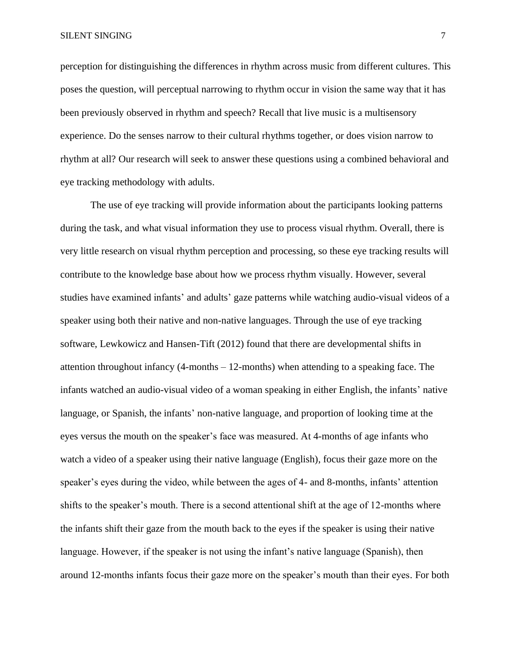perception for distinguishing the differences in rhythm across music from different cultures. This poses the question, will perceptual narrowing to rhythm occur in vision the same way that it has been previously observed in rhythm and speech? Recall that live music is a multisensory experience. Do the senses narrow to their cultural rhythms together, or does vision narrow to rhythm at all? Our research will seek to answer these questions using a combined behavioral and eye tracking methodology with adults.

The use of eye tracking will provide information about the participants looking patterns during the task, and what visual information they use to process visual rhythm. Overall, there is very little research on visual rhythm perception and processing, so these eye tracking results will contribute to the knowledge base about how we process rhythm visually. However, several studies have examined infants' and adults' gaze patterns while watching audio-visual videos of a speaker using both their native and non-native languages. Through the use of eye tracking software, Lewkowicz and Hansen-Tift (2012) found that there are developmental shifts in attention throughout infancy (4-months – 12-months) when attending to a speaking face. The infants watched an audio-visual video of a woman speaking in either English, the infants' native language, or Spanish, the infants' non-native language, and proportion of looking time at the eyes versus the mouth on the speaker's face was measured. At 4-months of age infants who watch a video of a speaker using their native language (English), focus their gaze more on the speaker's eyes during the video, while between the ages of 4- and 8-months, infants' attention shifts to the speaker's mouth. There is a second attentional shift at the age of 12-months where the infants shift their gaze from the mouth back to the eyes if the speaker is using their native language. However, if the speaker is not using the infant's native language (Spanish), then around 12-months infants focus their gaze more on the speaker's mouth than their eyes. For both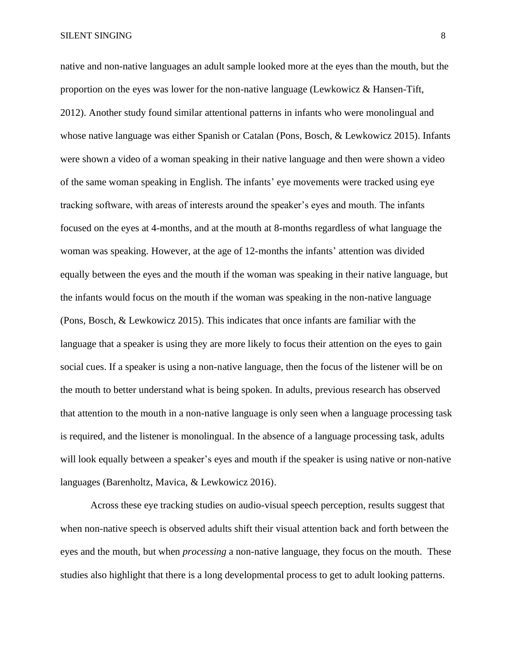native and non-native languages an adult sample looked more at the eyes than the mouth, but the proportion on the eyes was lower for the non-native language (Lewkowicz & Hansen-Tift, 2012). Another study found similar attentional patterns in infants who were monolingual and whose native language was either Spanish or Catalan (Pons, Bosch, & Lewkowicz 2015). Infants were shown a video of a woman speaking in their native language and then were shown a video of the same woman speaking in English. The infants' eye movements were tracked using eye tracking software, with areas of interests around the speaker's eyes and mouth. The infants focused on the eyes at 4-months, and at the mouth at 8-months regardless of what language the woman was speaking. However, at the age of 12-months the infants' attention was divided equally between the eyes and the mouth if the woman was speaking in their native language, but the infants would focus on the mouth if the woman was speaking in the non-native language (Pons, Bosch, & Lewkowicz 2015). This indicates that once infants are familiar with the language that a speaker is using they are more likely to focus their attention on the eyes to gain social cues. If a speaker is using a non-native language, then the focus of the listener will be on the mouth to better understand what is being spoken. In adults, previous research has observed that attention to the mouth in a non-native language is only seen when a language processing task is required, and the listener is monolingual. In the absence of a language processing task, adults will look equally between a speaker's eyes and mouth if the speaker is using native or non-native

languages (Barenholtz, Mavica, & Lewkowicz 2016).

Across these eye tracking studies on audio-visual speech perception, results suggest that when non-native speech is observed adults shift their visual attention back and forth between the eyes and the mouth, but when *processing* a non-native language, they focus on the mouth. These studies also highlight that there is a long developmental process to get to adult looking patterns.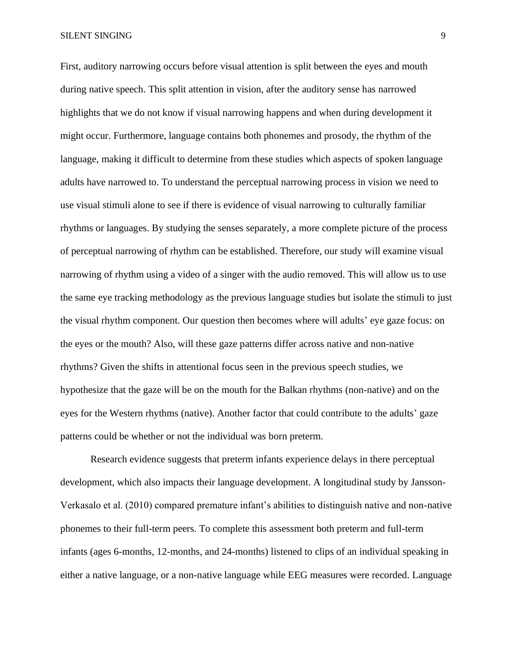First, auditory narrowing occurs before visual attention is split between the eyes and mouth during native speech. This split attention in vision, after the auditory sense has narrowed highlights that we do not know if visual narrowing happens and when during development it might occur. Furthermore, language contains both phonemes and prosody, the rhythm of the language, making it difficult to determine from these studies which aspects of spoken language adults have narrowed to. To understand the perceptual narrowing process in vision we need to use visual stimuli alone to see if there is evidence of visual narrowing to culturally familiar rhythms or languages. By studying the senses separately, a more complete picture of the process of perceptual narrowing of rhythm can be established. Therefore, our study will examine visual narrowing of rhythm using a video of a singer with the audio removed. This will allow us to use the same eye tracking methodology as the previous language studies but isolate the stimuli to just the visual rhythm component. Our question then becomes where will adults' eye gaze focus: on the eyes or the mouth? Also, will these gaze patterns differ across native and non-native rhythms? Given the shifts in attentional focus seen in the previous speech studies, we hypothesize that the gaze will be on the mouth for the Balkan rhythms (non-native) and on the eyes for the Western rhythms (native). Another factor that could contribute to the adults' gaze patterns could be whether or not the individual was born preterm.

Research evidence suggests that preterm infants experience delays in there perceptual development, which also impacts their language development. A longitudinal study by Jansson-Verkasalo et al. (2010) compared premature infant's abilities to distinguish native and non-native phonemes to their full-term peers. To complete this assessment both preterm and full-term infants (ages 6-months, 12-months, and 24-months) listened to clips of an individual speaking in either a native language, or a non-native language while EEG measures were recorded. Language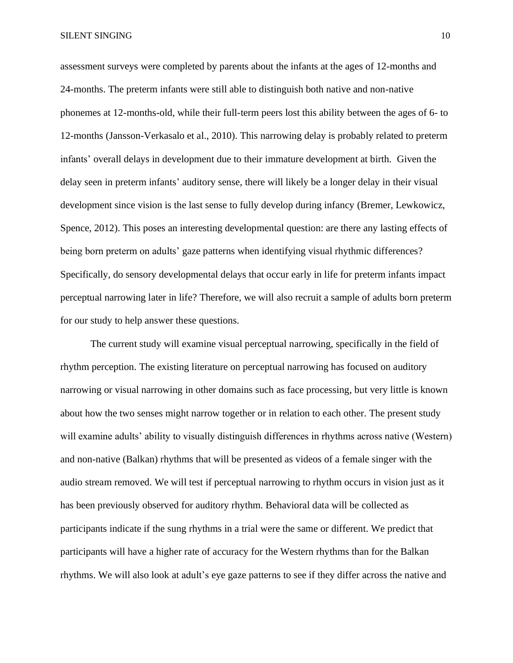assessment surveys were completed by parents about the infants at the ages of 12-months and 24-months. The preterm infants were still able to distinguish both native and non-native phonemes at 12-months-old, while their full-term peers lost this ability between the ages of 6- to 12-months (Jansson-Verkasalo et al., 2010). This narrowing delay is probably related to preterm infants' overall delays in development due to their immature development at birth. Given the delay seen in preterm infants' auditory sense, there will likely be a longer delay in their visual development since vision is the last sense to fully develop during infancy (Bremer, Lewkowicz, Spence, 2012). This poses an interesting developmental question: are there any lasting effects of being born preterm on adults' gaze patterns when identifying visual rhythmic differences? Specifically, do sensory developmental delays that occur early in life for preterm infants impact perceptual narrowing later in life? Therefore, we will also recruit a sample of adults born preterm for our study to help answer these questions.

The current study will examine visual perceptual narrowing, specifically in the field of rhythm perception. The existing literature on perceptual narrowing has focused on auditory narrowing or visual narrowing in other domains such as face processing, but very little is known about how the two senses might narrow together or in relation to each other. The present study will examine adults' ability to visually distinguish differences in rhythms across native (Western) and non-native (Balkan) rhythms that will be presented as videos of a female singer with the audio stream removed. We will test if perceptual narrowing to rhythm occurs in vision just as it has been previously observed for auditory rhythm. Behavioral data will be collected as participants indicate if the sung rhythms in a trial were the same or different. We predict that participants will have a higher rate of accuracy for the Western rhythms than for the Balkan rhythms. We will also look at adult's eye gaze patterns to see if they differ across the native and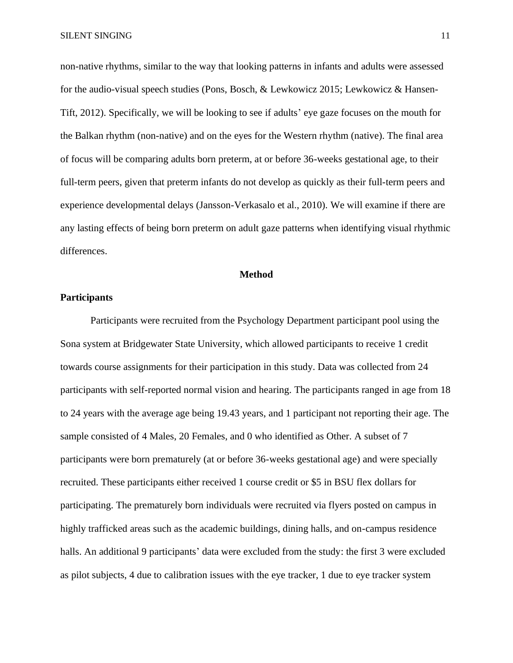non-native rhythms, similar to the way that looking patterns in infants and adults were assessed for the audio-visual speech studies (Pons, Bosch, & Lewkowicz 2015; Lewkowicz & Hansen-Tift, 2012). Specifically, we will be looking to see if adults' eye gaze focuses on the mouth for the Balkan rhythm (non-native) and on the eyes for the Western rhythm (native). The final area of focus will be comparing adults born preterm, at or before 36-weeks gestational age, to their full-term peers, given that preterm infants do not develop as quickly as their full-term peers and experience developmental delays (Jansson-Verkasalo et al., 2010). We will examine if there are any lasting effects of being born preterm on adult gaze patterns when identifying visual rhythmic differences.

#### **Method**

#### **Participants**

Participants were recruited from the Psychology Department participant pool using the Sona system at Bridgewater State University, which allowed participants to receive 1 credit towards course assignments for their participation in this study. Data was collected from 24 participants with self-reported normal vision and hearing. The participants ranged in age from 18 to 24 years with the average age being 19.43 years, and 1 participant not reporting their age. The sample consisted of 4 Males, 20 Females, and 0 who identified as Other. A subset of 7 participants were born prematurely (at or before 36-weeks gestational age) and were specially recruited. These participants either received 1 course credit or \$5 in BSU flex dollars for participating. The prematurely born individuals were recruited via flyers posted on campus in highly trafficked areas such as the academic buildings, dining halls, and on-campus residence halls. An additional 9 participants' data were excluded from the study: the first 3 were excluded as pilot subjects, 4 due to calibration issues with the eye tracker, 1 due to eye tracker system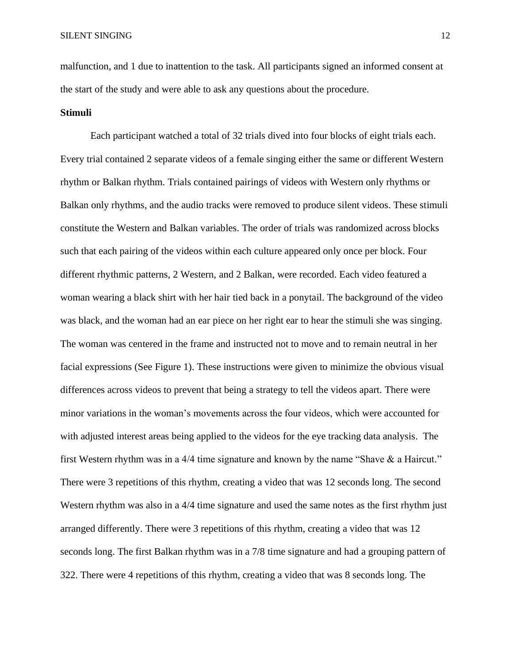malfunction, and 1 due to inattention to the task. All participants signed an informed consent at the start of the study and were able to ask any questions about the procedure.

#### **Stimuli**

Each participant watched a total of 32 trials dived into four blocks of eight trials each. Every trial contained 2 separate videos of a female singing either the same or different Western rhythm or Balkan rhythm. Trials contained pairings of videos with Western only rhythms or Balkan only rhythms, and the audio tracks were removed to produce silent videos. These stimuli constitute the Western and Balkan variables. The order of trials was randomized across blocks such that each pairing of the videos within each culture appeared only once per block. Four different rhythmic patterns, 2 Western, and 2 Balkan, were recorded. Each video featured a woman wearing a black shirt with her hair tied back in a ponytail. The background of the video was black, and the woman had an ear piece on her right ear to hear the stimuli she was singing. The woman was centered in the frame and instructed not to move and to remain neutral in her facial expressions (See Figure 1). These instructions were given to minimize the obvious visual differences across videos to prevent that being a strategy to tell the videos apart. There were minor variations in the woman's movements across the four videos, which were accounted for with adjusted interest areas being applied to the videos for the eye tracking data analysis. The first Western rhythm was in a 4/4 time signature and known by the name "Shave & a Haircut." There were 3 repetitions of this rhythm, creating a video that was 12 seconds long. The second Western rhythm was also in a 4/4 time signature and used the same notes as the first rhythm just arranged differently. There were 3 repetitions of this rhythm, creating a video that was 12 seconds long. The first Balkan rhythm was in a 7/8 time signature and had a grouping pattern of 322. There were 4 repetitions of this rhythm, creating a video that was 8 seconds long. The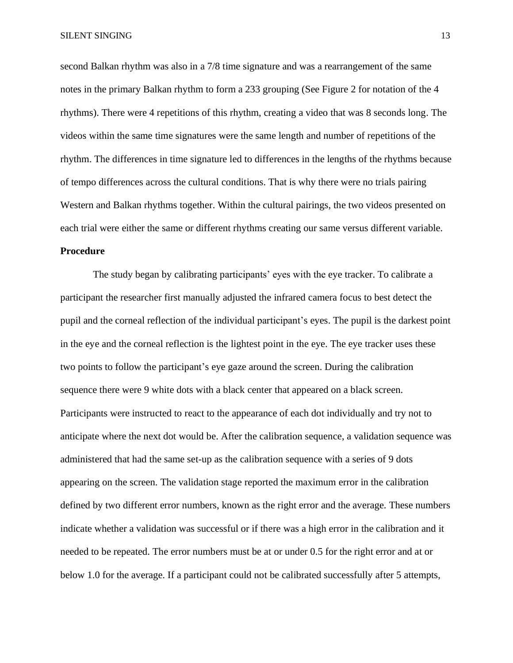second Balkan rhythm was also in a 7/8 time signature and was a rearrangement of the same notes in the primary Balkan rhythm to form a 233 grouping (See Figure 2 for notation of the 4 rhythms). There were 4 repetitions of this rhythm, creating a video that was 8 seconds long. The videos within the same time signatures were the same length and number of repetitions of the rhythm. The differences in time signature led to differences in the lengths of the rhythms because of tempo differences across the cultural conditions. That is why there were no trials pairing Western and Balkan rhythms together. Within the cultural pairings, the two videos presented on each trial were either the same or different rhythms creating our same versus different variable. **Procedure**

The study began by calibrating participants' eyes with the eye tracker. To calibrate a participant the researcher first manually adjusted the infrared camera focus to best detect the pupil and the corneal reflection of the individual participant's eyes. The pupil is the darkest point in the eye and the corneal reflection is the lightest point in the eye. The eye tracker uses these two points to follow the participant's eye gaze around the screen. During the calibration sequence there were 9 white dots with a black center that appeared on a black screen. Participants were instructed to react to the appearance of each dot individually and try not to anticipate where the next dot would be. After the calibration sequence, a validation sequence was administered that had the same set-up as the calibration sequence with a series of 9 dots appearing on the screen. The validation stage reported the maximum error in the calibration defined by two different error numbers, known as the right error and the average. These numbers indicate whether a validation was successful or if there was a high error in the calibration and it needed to be repeated. The error numbers must be at or under 0.5 for the right error and at or below 1.0 for the average. If a participant could not be calibrated successfully after 5 attempts,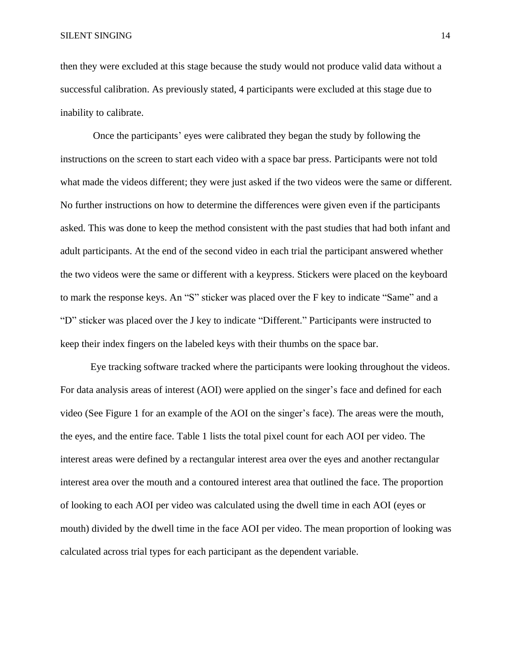then they were excluded at this stage because the study would not produce valid data without a successful calibration. As previously stated, 4 participants were excluded at this stage due to inability to calibrate.

Once the participants' eyes were calibrated they began the study by following the instructions on the screen to start each video with a space bar press. Participants were not told what made the videos different; they were just asked if the two videos were the same or different. No further instructions on how to determine the differences were given even if the participants asked. This was done to keep the method consistent with the past studies that had both infant and adult participants. At the end of the second video in each trial the participant answered whether the two videos were the same or different with a keypress. Stickers were placed on the keyboard to mark the response keys. An "S" sticker was placed over the F key to indicate "Same" and a "D" sticker was placed over the J key to indicate "Different." Participants were instructed to keep their index fingers on the labeled keys with their thumbs on the space bar.

Eye tracking software tracked where the participants were looking throughout the videos. For data analysis areas of interest (AOI) were applied on the singer's face and defined for each video (See Figure 1 for an example of the AOI on the singer's face). The areas were the mouth, the eyes, and the entire face. Table 1 lists the total pixel count for each AOI per video. The interest areas were defined by a rectangular interest area over the eyes and another rectangular interest area over the mouth and a contoured interest area that outlined the face. The proportion of looking to each AOI per video was calculated using the dwell time in each AOI (eyes or mouth) divided by the dwell time in the face AOI per video. The mean proportion of looking was calculated across trial types for each participant as the dependent variable.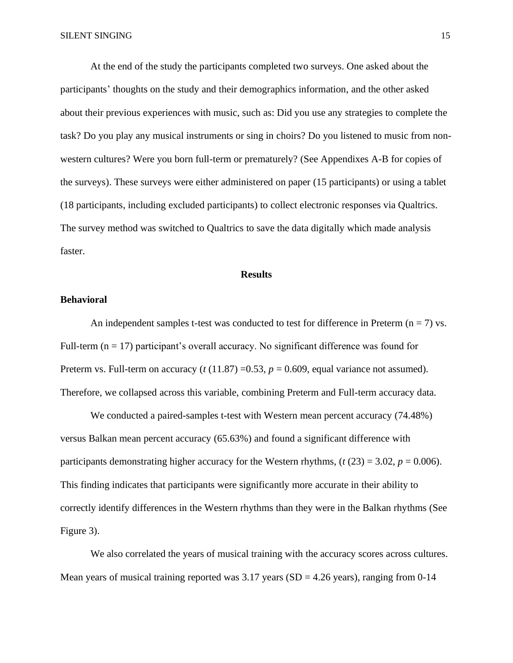At the end of the study the participants completed two surveys. One asked about the participants' thoughts on the study and their demographics information, and the other asked about their previous experiences with music, such as: Did you use any strategies to complete the task? Do you play any musical instruments or sing in choirs? Do you listened to music from nonwestern cultures? Were you born full-term or prematurely? (See Appendixes A-B for copies of the surveys). These surveys were either administered on paper (15 participants) or using a tablet (18 participants, including excluded participants) to collect electronic responses via Qualtrics. The survey method was switched to Qualtrics to save the data digitally which made analysis faster.

#### **Results**

#### **Behavioral**

An independent samples t-test was conducted to test for difference in Preterm ( $n = 7$ ) vs. Full-term  $(n = 17)$  participant's overall accuracy. No significant difference was found for Preterm vs. Full-term on accuracy  $(t(11.87) = 0.53, p = 0.609,$  equal variance not assumed). Therefore, we collapsed across this variable, combining Preterm and Full-term accuracy data.

We conducted a paired-samples t-test with Western mean percent accuracy (74.48%) versus Balkan mean percent accuracy (65.63%) and found a significant difference with participants demonstrating higher accuracy for the Western rhythms,  $(t(23) = 3.02, p = 0.006)$ . This finding indicates that participants were significantly more accurate in their ability to correctly identify differences in the Western rhythms than they were in the Balkan rhythms (See Figure 3).

We also correlated the years of musical training with the accuracy scores across cultures. Mean years of musical training reported was  $3.17$  years (SD = 4.26 years), ranging from 0-14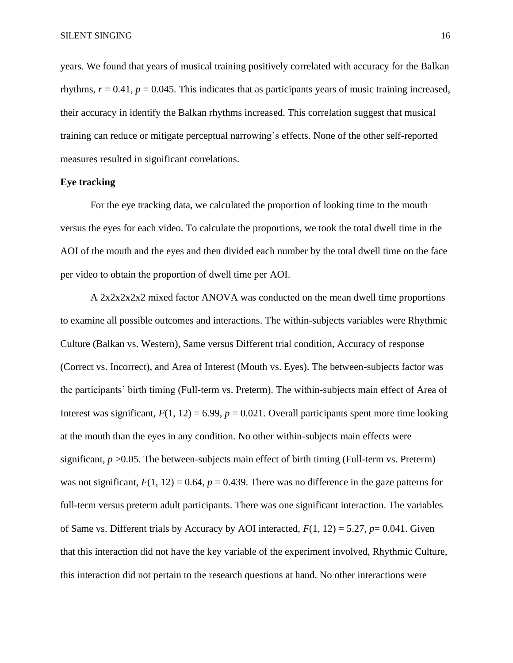years. We found that years of musical training positively correlated with accuracy for the Balkan rhythms,  $r = 0.41$ ,  $p = 0.045$ . This indicates that as participants years of music training increased, their accuracy in identify the Balkan rhythms increased. This correlation suggest that musical training can reduce or mitigate perceptual narrowing's effects. None of the other self-reported measures resulted in significant correlations.

#### **Eye tracking**

For the eye tracking data, we calculated the proportion of looking time to the mouth versus the eyes for each video. To calculate the proportions, we took the total dwell time in the AOI of the mouth and the eyes and then divided each number by the total dwell time on the face per video to obtain the proportion of dwell time per AOI.

A 2x2x2x2x2 mixed factor ANOVA was conducted on the mean dwell time proportions to examine all possible outcomes and interactions. The within-subjects variables were Rhythmic Culture (Balkan vs. Western), Same versus Different trial condition, Accuracy of response (Correct vs. Incorrect), and Area of Interest (Mouth vs. Eyes). The between-subjects factor was the participants' birth timing (Full-term vs. Preterm). The within-subjects main effect of Area of Interest was significant,  $F(1, 12) = 6.99$ ,  $p = 0.021$ . Overall participants spent more time looking at the mouth than the eyes in any condition. No other within-subjects main effects were significant,  $p > 0.05$ . The between-subjects main effect of birth timing (Full-term vs. Preterm) was not significant,  $F(1, 12) = 0.64$ ,  $p = 0.439$ . There was no difference in the gaze patterns for full-term versus preterm adult participants. There was one significant interaction. The variables of Same vs. Different trials by Accuracy by AOI interacted, *F*(1, 12) = 5.27, *p*= 0.041. Given that this interaction did not have the key variable of the experiment involved, Rhythmic Culture, this interaction did not pertain to the research questions at hand. No other interactions were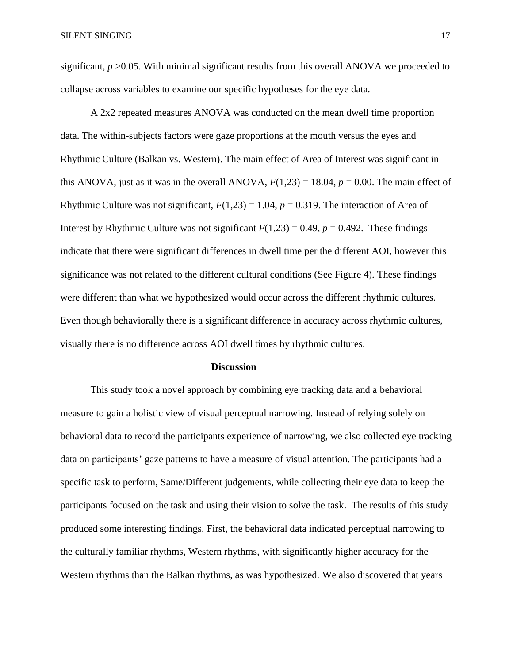significant,  $p > 0.05$ . With minimal significant results from this overall ANOVA we proceeded to collapse across variables to examine our specific hypotheses for the eye data.

A 2x2 repeated measures ANOVA was conducted on the mean dwell time proportion data. The within-subjects factors were gaze proportions at the mouth versus the eyes and Rhythmic Culture (Balkan vs. Western). The main effect of Area of Interest was significant in this ANOVA, just as it was in the overall ANOVA,  $F(1,23) = 18.04$ ,  $p = 0.00$ . The main effect of Rhythmic Culture was not significant,  $F(1,23) = 1.04$ ,  $p = 0.319$ . The interaction of Area of Interest by Rhythmic Culture was not significant  $F(1,23) = 0.49$ ,  $p = 0.492$ . These findings indicate that there were significant differences in dwell time per the different AOI, however this significance was not related to the different cultural conditions (See Figure 4). These findings were different than what we hypothesized would occur across the different rhythmic cultures. Even though behaviorally there is a significant difference in accuracy across rhythmic cultures, visually there is no difference across AOI dwell times by rhythmic cultures.

#### **Discussion**

This study took a novel approach by combining eye tracking data and a behavioral measure to gain a holistic view of visual perceptual narrowing. Instead of relying solely on behavioral data to record the participants experience of narrowing, we also collected eye tracking data on participants' gaze patterns to have a measure of visual attention. The participants had a specific task to perform, Same/Different judgements, while collecting their eye data to keep the participants focused on the task and using their vision to solve the task. The results of this study produced some interesting findings. First, the behavioral data indicated perceptual narrowing to the culturally familiar rhythms, Western rhythms, with significantly higher accuracy for the Western rhythms than the Balkan rhythms, as was hypothesized. We also discovered that years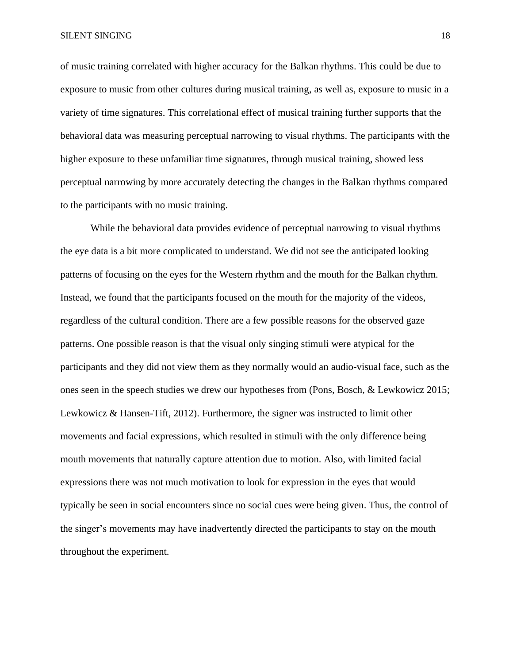of music training correlated with higher accuracy for the Balkan rhythms. This could be due to exposure to music from other cultures during musical training, as well as, exposure to music in a variety of time signatures. This correlational effect of musical training further supports that the behavioral data was measuring perceptual narrowing to visual rhythms. The participants with the higher exposure to these unfamiliar time signatures, through musical training, showed less perceptual narrowing by more accurately detecting the changes in the Balkan rhythms compared to the participants with no music training.

While the behavioral data provides evidence of perceptual narrowing to visual rhythms the eye data is a bit more complicated to understand. We did not see the anticipated looking patterns of focusing on the eyes for the Western rhythm and the mouth for the Balkan rhythm. Instead, we found that the participants focused on the mouth for the majority of the videos, regardless of the cultural condition. There are a few possible reasons for the observed gaze patterns. One possible reason is that the visual only singing stimuli were atypical for the participants and they did not view them as they normally would an audio-visual face, such as the ones seen in the speech studies we drew our hypotheses from (Pons, Bosch, & Lewkowicz 2015; Lewkowicz & Hansen-Tift, 2012). Furthermore, the signer was instructed to limit other movements and facial expressions, which resulted in stimuli with the only difference being mouth movements that naturally capture attention due to motion. Also, with limited facial expressions there was not much motivation to look for expression in the eyes that would typically be seen in social encounters since no social cues were being given. Thus, the control of the singer's movements may have inadvertently directed the participants to stay on the mouth throughout the experiment.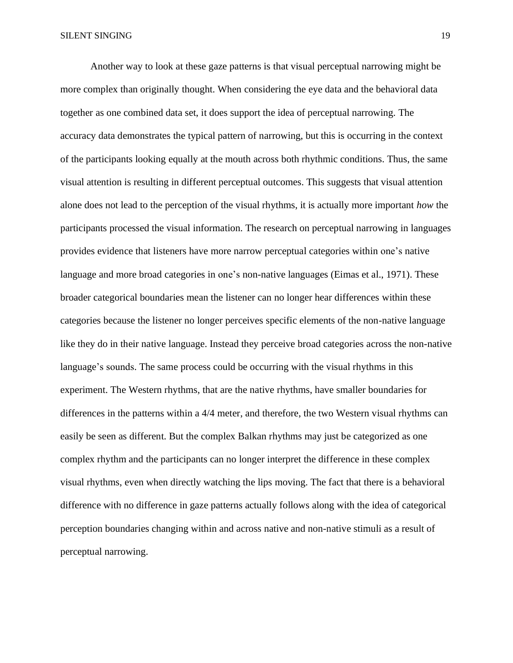Another way to look at these gaze patterns is that visual perceptual narrowing might be more complex than originally thought. When considering the eye data and the behavioral data together as one combined data set, it does support the idea of perceptual narrowing. The accuracy data demonstrates the typical pattern of narrowing, but this is occurring in the context of the participants looking equally at the mouth across both rhythmic conditions. Thus, the same visual attention is resulting in different perceptual outcomes. This suggests that visual attention alone does not lead to the perception of the visual rhythms, it is actually more important *how* the participants processed the visual information. The research on perceptual narrowing in languages provides evidence that listeners have more narrow perceptual categories within one's native language and more broad categories in one's non-native languages (Eimas et al., 1971). These broader categorical boundaries mean the listener can no longer hear differences within these categories because the listener no longer perceives specific elements of the non-native language like they do in their native language. Instead they perceive broad categories across the non-native language's sounds. The same process could be occurring with the visual rhythms in this experiment. The Western rhythms, that are the native rhythms, have smaller boundaries for differences in the patterns within a 4/4 meter, and therefore, the two Western visual rhythms can easily be seen as different. But the complex Balkan rhythms may just be categorized as one complex rhythm and the participants can no longer interpret the difference in these complex visual rhythms, even when directly watching the lips moving. The fact that there is a behavioral difference with no difference in gaze patterns actually follows along with the idea of categorical perception boundaries changing within and across native and non-native stimuli as a result of perceptual narrowing.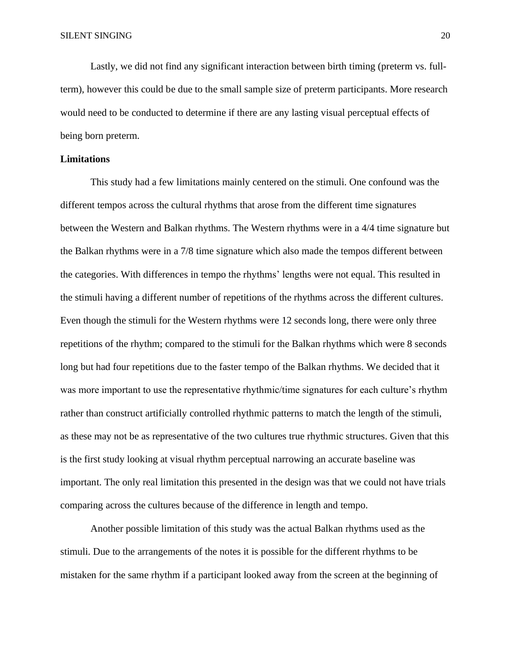Lastly, we did not find any significant interaction between birth timing (preterm vs. fullterm), however this could be due to the small sample size of preterm participants. More research would need to be conducted to determine if there are any lasting visual perceptual effects of being born preterm.

#### **Limitations**

This study had a few limitations mainly centered on the stimuli. One confound was the different tempos across the cultural rhythms that arose from the different time signatures between the Western and Balkan rhythms. The Western rhythms were in a 4/4 time signature but the Balkan rhythms were in a 7/8 time signature which also made the tempos different between the categories. With differences in tempo the rhythms' lengths were not equal. This resulted in the stimuli having a different number of repetitions of the rhythms across the different cultures. Even though the stimuli for the Western rhythms were 12 seconds long, there were only three repetitions of the rhythm; compared to the stimuli for the Balkan rhythms which were 8 seconds long but had four repetitions due to the faster tempo of the Balkan rhythms. We decided that it was more important to use the representative rhythmic/time signatures for each culture's rhythm rather than construct artificially controlled rhythmic patterns to match the length of the stimuli, as these may not be as representative of the two cultures true rhythmic structures. Given that this is the first study looking at visual rhythm perceptual narrowing an accurate baseline was important. The only real limitation this presented in the design was that we could not have trials comparing across the cultures because of the difference in length and tempo.

Another possible limitation of this study was the actual Balkan rhythms used as the stimuli. Due to the arrangements of the notes it is possible for the different rhythms to be mistaken for the same rhythm if a participant looked away from the screen at the beginning of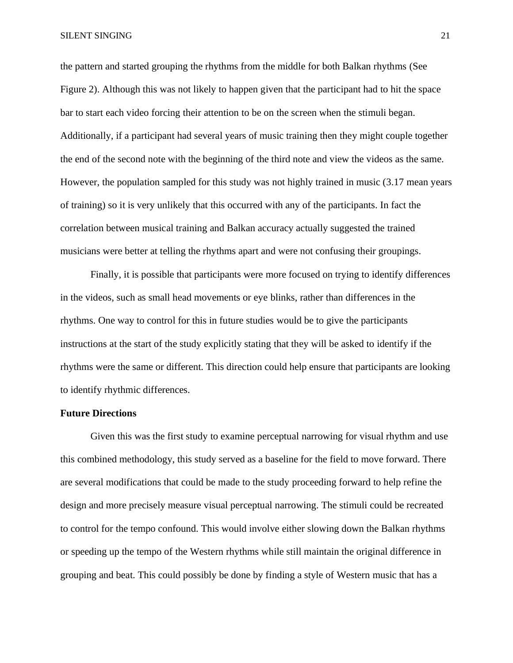the pattern and started grouping the rhythms from the middle for both Balkan rhythms (See Figure 2). Although this was not likely to happen given that the participant had to hit the space bar to start each video forcing their attention to be on the screen when the stimuli began. Additionally, if a participant had several years of music training then they might couple together the end of the second note with the beginning of the third note and view the videos as the same. However, the population sampled for this study was not highly trained in music (3.17 mean years of training) so it is very unlikely that this occurred with any of the participants. In fact the correlation between musical training and Balkan accuracy actually suggested the trained musicians were better at telling the rhythms apart and were not confusing their groupings.

Finally, it is possible that participants were more focused on trying to identify differences in the videos, such as small head movements or eye blinks, rather than differences in the rhythms. One way to control for this in future studies would be to give the participants instructions at the start of the study explicitly stating that they will be asked to identify if the rhythms were the same or different. This direction could help ensure that participants are looking to identify rhythmic differences.

#### **Future Directions**

Given this was the first study to examine perceptual narrowing for visual rhythm and use this combined methodology, this study served as a baseline for the field to move forward. There are several modifications that could be made to the study proceeding forward to help refine the design and more precisely measure visual perceptual narrowing. The stimuli could be recreated to control for the tempo confound. This would involve either slowing down the Balkan rhythms or speeding up the tempo of the Western rhythms while still maintain the original difference in grouping and beat. This could possibly be done by finding a style of Western music that has a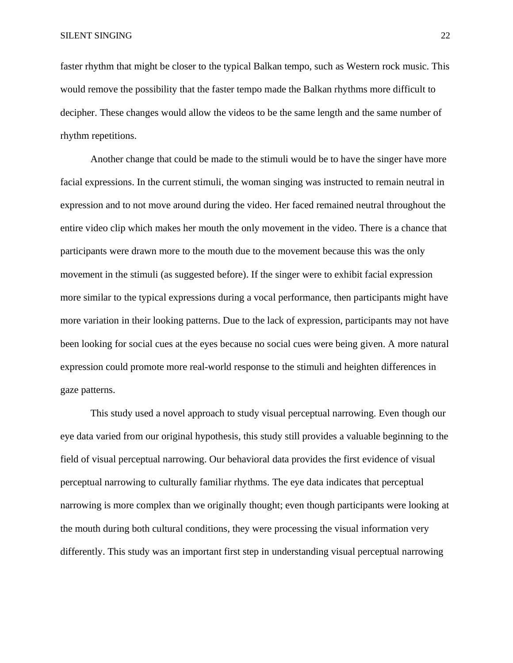faster rhythm that might be closer to the typical Balkan tempo, such as Western rock music. This would remove the possibility that the faster tempo made the Balkan rhythms more difficult to decipher. These changes would allow the videos to be the same length and the same number of rhythm repetitions.

Another change that could be made to the stimuli would be to have the singer have more facial expressions. In the current stimuli, the woman singing was instructed to remain neutral in expression and to not move around during the video. Her faced remained neutral throughout the entire video clip which makes her mouth the only movement in the video. There is a chance that participants were drawn more to the mouth due to the movement because this was the only movement in the stimuli (as suggested before). If the singer were to exhibit facial expression more similar to the typical expressions during a vocal performance, then participants might have more variation in their looking patterns. Due to the lack of expression, participants may not have been looking for social cues at the eyes because no social cues were being given. A more natural expression could promote more real-world response to the stimuli and heighten differences in gaze patterns.

This study used a novel approach to study visual perceptual narrowing. Even though our eye data varied from our original hypothesis, this study still provides a valuable beginning to the field of visual perceptual narrowing. Our behavioral data provides the first evidence of visual perceptual narrowing to culturally familiar rhythms. The eye data indicates that perceptual narrowing is more complex than we originally thought; even though participants were looking at the mouth during both cultural conditions, they were processing the visual information very differently. This study was an important first step in understanding visual perceptual narrowing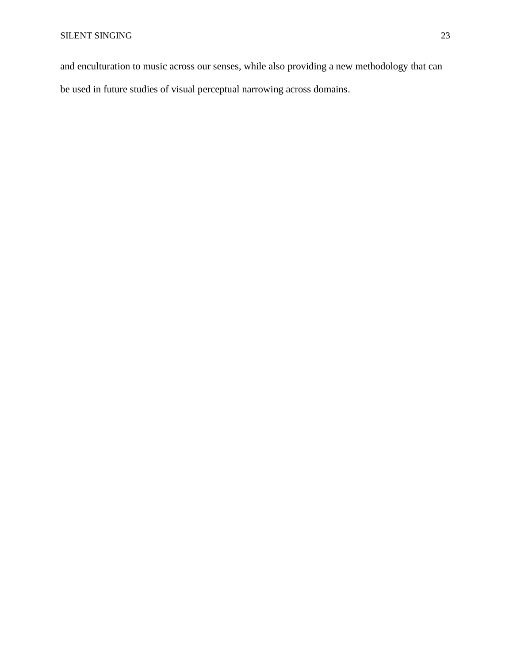and enculturation to music across our senses, while also providing a new methodology that can be used in future studies of visual perceptual narrowing across domains.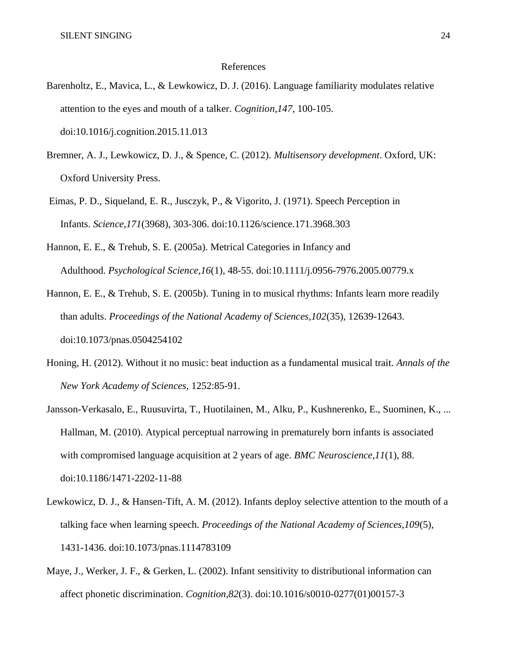#### References

- Barenholtz, E., Mavica, L., & Lewkowicz, D. J. (2016). Language familiarity modulates relative attention to the eyes and mouth of a talker. *Cognition,147*, 100-105. doi:10.1016/j.cognition.2015.11.013
- Bremner, A. J., Lewkowicz, D. J., & Spence, C. (2012). *Multisensory development*. Oxford, UK: Oxford University Press.
- Eimas, P. D., Siqueland, E. R., Jusczyk, P., & Vigorito, J. (1971). Speech Perception in Infants. *Science,171*(3968), 303-306. doi:10.1126/science.171.3968.303
- Hannon, E. E., & Trehub, S. E. (2005a). Metrical Categories in Infancy and Adulthood. *Psychological Science,16*(1), 48-55. doi:10.1111/j.0956-7976.2005.00779.x

Hannon, E. E., & Trehub, S. E. (2005b). Tuning in to musical rhythms: Infants learn more readily than adults. *Proceedings of the National Academy of Sciences,102*(35), 12639-12643. doi:10.1073/pnas.0504254102

- Honing, H. (2012). Without it no music: beat induction as a fundamental musical trait. *Annals of the New York Academy of Sciences,* 1252:85-91.
- Jansson-Verkasalo, E., Ruusuvirta, T., Huotilainen, M., Alku, P., Kushnerenko, E., Suominen, K., ... Hallman, M. (2010). Atypical perceptual narrowing in prematurely born infants is associated with compromised language acquisition at 2 years of age. *BMC Neuroscience,11*(1), 88. doi:10.1186/1471-2202-11-88
- Lewkowicz, D. J., & Hansen-Tift, A. M. (2012). Infants deploy selective attention to the mouth of a talking face when learning speech. *Proceedings of the National Academy of Sciences,109*(5), 1431-1436. doi:10.1073/pnas.1114783109
- Maye, J., Werker, J. F., & Gerken, L. (2002). Infant sensitivity to distributional information can affect phonetic discrimination. *Cognition,82*(3). doi:10.1016/s0010-0277(01)00157-3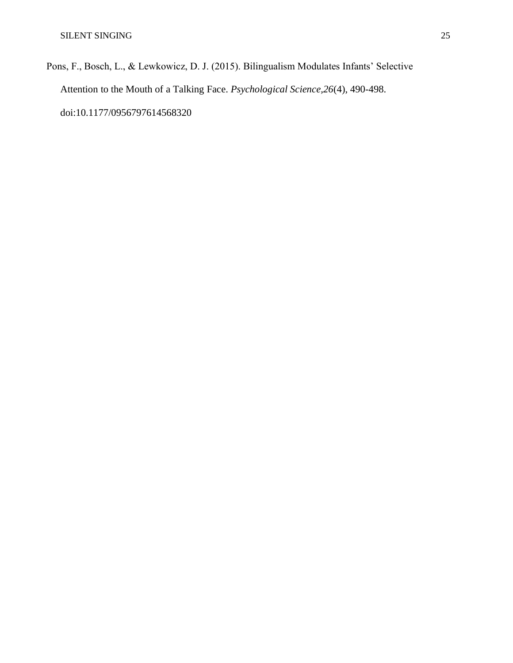Pons, F., Bosch, L., & Lewkowicz, D. J. (2015). Bilingualism Modulates Infants' Selective Attention to the Mouth of a Talking Face. *Psychological Science,26*(4), 490-498. doi:10.1177/0956797614568320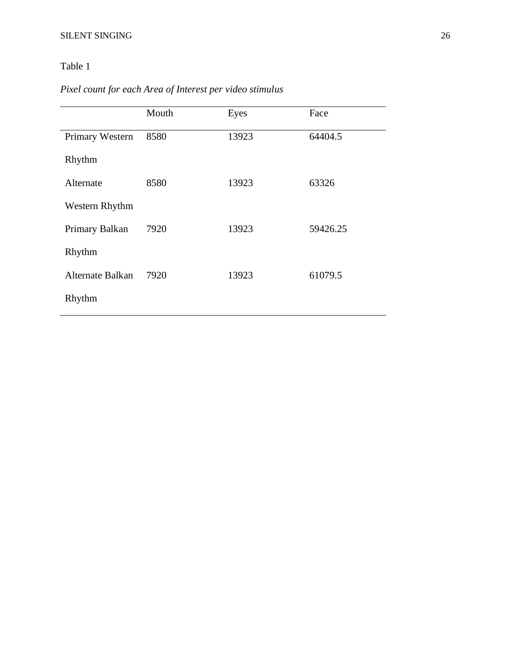### Table 1

## *Pixel count for each Area of Interest per video stimulus*

|                  | Mouth | Eyes  | Face     |
|------------------|-------|-------|----------|
| Primary Western  | 8580  | 13923 | 64404.5  |
| Rhythm           |       |       |          |
| Alternate        | 8580  | 13923 | 63326    |
| Western Rhythm   |       |       |          |
| Primary Balkan   | 7920  | 13923 | 59426.25 |
| Rhythm           |       |       |          |
| Alternate Balkan | 7920  | 13923 | 61079.5  |
| Rhythm           |       |       |          |
|                  |       |       |          |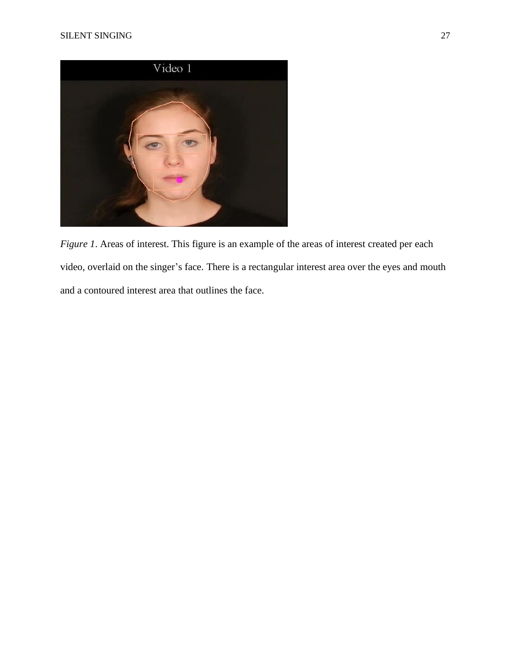

*Figure 1*. Areas of interest. This figure is an example of the areas of interest created per each video, overlaid on the singer's face. There is a rectangular interest area over the eyes and mouth and a contoured interest area that outlines the face.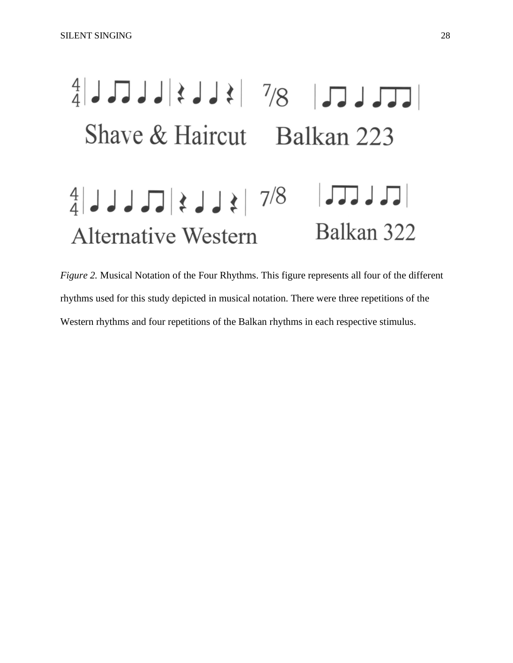# $\frac{4}{4}$ JJJ $\geq$   $\geq$   $\geq$   $\geq$   $\geq$   $\geq$   $\geq$   $\geq$   $\geq$   $\geq$   $\geq$   $\geq$   $\geq$   $\geq$   $\geq$   $\geq$   $\geq$   $\geq$   $\geq$   $\geq$   $\geq$   $\geq$   $\geq$   $\geq$   $\geq$   $\geq$   $\geq$   $\geq$   $\geq$   $\geq$   $\geq$   $\geq$   $\geq$   $\geq$   $\geq$ Shave & Haircut Balkan 223  $\frac{4}{4}$ | JJJ $\frac{1}{4}$ |  $\frac{1}{4}$ |  $\frac{1}{4}$ |  $\frac{1}{4}$ |  $\frac{1}{4}$ |  $\frac{1}{4}$ |  $\frac{1}{4}$ |  $\frac{1}{4}$ Balkan 322 **Alternative Western**

*Figure 2.* Musical Notation of the Four Rhythms. This figure represents all four of the different rhythms used for this study depicted in musical notation. There were three repetitions of the Western rhythms and four repetitions of the Balkan rhythms in each respective stimulus.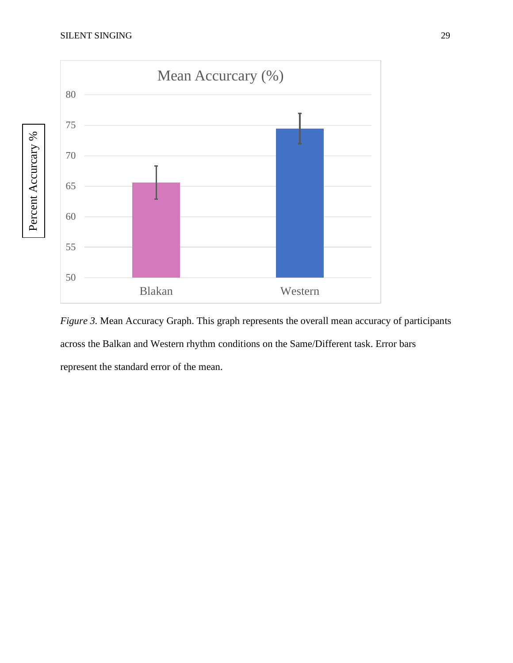

*Figure* 3. Mean Accuracy Graph. This graph represents the overall mean accuracy of participants across the Balkan and Western rhythm conditions on the Same/Different task. Error bars represent the standard error of the mean.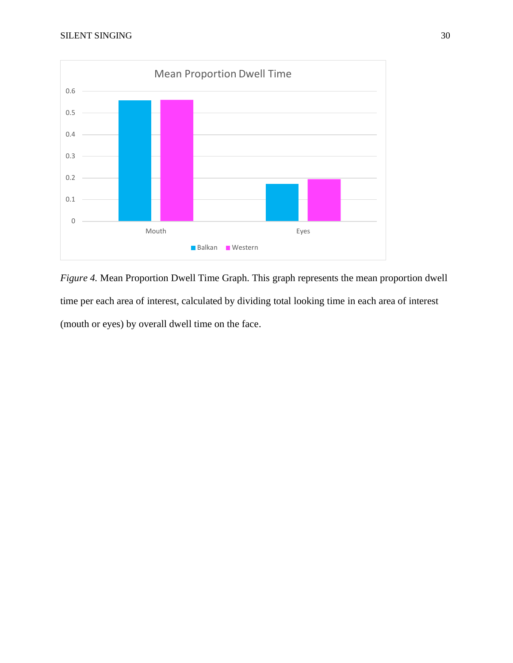

*Figure 4.* Mean Proportion Dwell Time Graph. This graph represents the mean proportion dwell time per each area of interest, calculated by dividing total looking time in each area of interest (mouth or eyes) by overall dwell time on the face.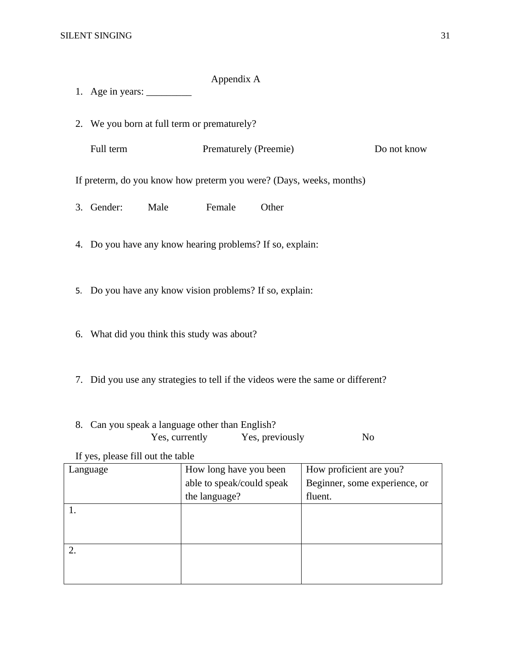#### Appendix A

- 1. Age in years: \_\_\_\_\_\_\_\_\_
- 2. We you born at full term or prematurely?

| Full term | <b>Prematurely (Preemie)</b> | Do not know |
|-----------|------------------------------|-------------|
|-----------|------------------------------|-------------|

If preterm, do you know how preterm you were? (Days, weeks, months)

- 3. Gender: Male Female Other
- 4. Do you have any know hearing problems? If so, explain:
- 5. Do you have any know vision problems? If so, explain:
- 6. What did you think this study was about?
- 7. Did you use any strategies to tell if the videos were the same or different?
- 8. Can you speak a language other than English? Yes, currently Yes, previously No

If yes, please fill out the table

| Language | How long have you been    | How proficient are you?       |  |  |
|----------|---------------------------|-------------------------------|--|--|
|          | able to speak/could speak | Beginner, some experience, or |  |  |
|          | the language?             | fluent.                       |  |  |
|          |                           |                               |  |  |
|          |                           |                               |  |  |
|          |                           |                               |  |  |
|          |                           |                               |  |  |
|          |                           |                               |  |  |
|          |                           |                               |  |  |